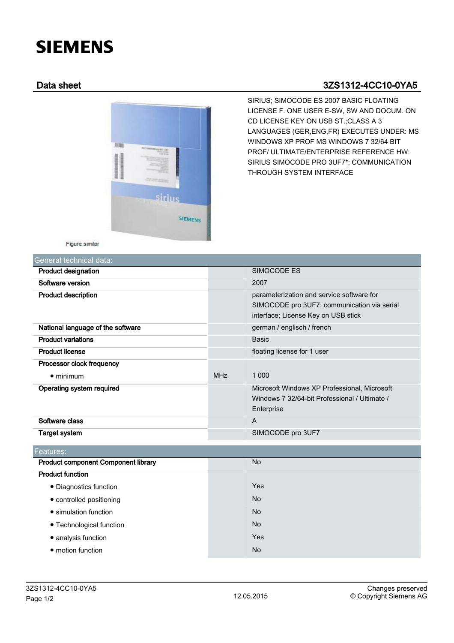# **SIEMENS**

# Data sheet 3ZS1312-4CC10-0YA5



SIRIUS; SIMOCODE ES 2007 BASIC FLOATING LICENSE F. ONE USER E-SW, SW AND DOCUM. ON CD LICENSE KEY ON USB ST.;CLASS A 3 LANGUAGES (GER,ENG,FR) EXECUTES UNDER: MS WINDOWS XP PROF MS WINDOWS 7 32/64 BIT PROF/ ULTIMATE/ENTERPRISE REFERENCE HW: SIRIUS SIMOCODE PRO 3UF7\*; COMMUNICATION THROUGH SYSTEM INTERFACE

Figure similar

| General technical data:           |            |                                                                                                                                 |
|-----------------------------------|------------|---------------------------------------------------------------------------------------------------------------------------------|
| <b>Product designation</b>        |            | SIMOCODE ES                                                                                                                     |
| Software version                  |            | 2007                                                                                                                            |
| <b>Product description</b>        |            | parameterization and service software for<br>SIMOCODE pro 3UF7; communication via serial<br>interface; License Key on USB stick |
| National language of the software |            | german / englisch / french                                                                                                      |
| <b>Product variations</b>         |            | <b>Basic</b>                                                                                                                    |
| <b>Product license</b>            |            | floating license for 1 user                                                                                                     |
| Processor clock frequency         |            |                                                                                                                                 |
| $\bullet$ minimum                 | <b>MHz</b> | 1 0 0 0                                                                                                                         |
| Operating system required         |            | Microsoft Windows XP Professional, Microsoft<br>Windows 7 32/64-bit Professional / Ultimate /<br>Enterprise                     |
| Software class                    |            | A                                                                                                                               |
| Target system                     |            | SIMOCODE pro 3UF7                                                                                                               |

| Features:                           |           |
|-------------------------------------|-----------|
| Product component Component library | <b>No</b> |
| <b>Product function</b>             |           |
| • Diagnostics function              | Yes       |
| • controlled positioning            | <b>No</b> |
| • simulation function               | <b>No</b> |
| • Technological function            | <b>No</b> |
| • analysis function                 | Yes       |
| • motion function                   | <b>No</b> |